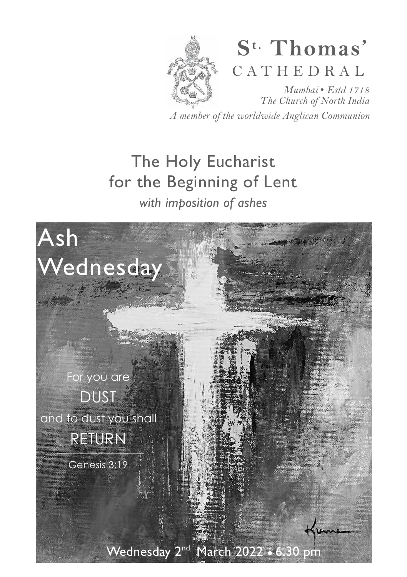

# **S t. Thomas'**  C A T H E D R A L

*Mumbai* • *Estd 1718 The Church of North India A member of the worldwide Anglican Communion* 

# The Holy Eucharist for the Beginning of Lent *with imposition of ashes*

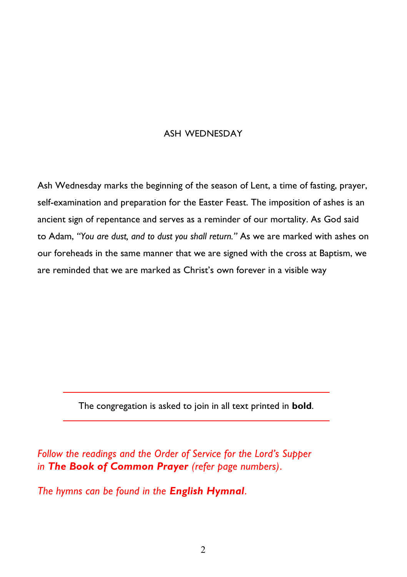#### ASH WEDNESDAY

Ash Wednesday marks the beginning of the season of Lent, a time of fasting, prayer, self-examination and preparation for the Easter Feast. The imposition of ashes is an ancient sign of repentance and serves as a reminder of our mortality. As God said to Adam, *"You are dust, and to dust you shall return."* As we are marked with ashes on our foreheads in the same manner that we are signed with the cross at Baptism, we are reminded that we are marked as Christ's own forever in a visible way

The congregation is asked to join in all text printed in **bold**.

*Follow the readings and the Order of Service for the Lord's Supper in The Book of Common Prayer (refer page numbers)*.

*The hymns can be found in the English Hymnal*.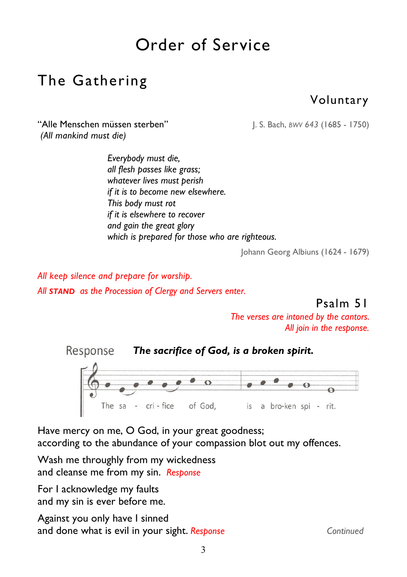# Order of Service

## The Gathering

### Voluntary

"Alle Menschen müssen sterben"J. S. Bach, *BWV 643* (1685 - 1750)  *(All mankind must die)* 

*Everybody must die, all flesh passes like grass; whatever lives must perish if it is to become new elsewhere. This body must rot if it is elsewhere to recover and gain the great glory which is prepared for those who are righteous.*

Johann Georg Albiuns (1624 - 1679)

*All keep silence and prepare for worship. All STAND as the Procession of Clergy and Servers enter.* 

Psalm 51

*The verses are intoned by the cantors. All join in the response.* 



Have mercy on me, O God, in your great goodness; according to the abundance of your compassion blot out my offences.

Wash me throughly from my wickedness and cleanse me from my sin. *Response* 

For I acknowledge my faults and my sin is ever before me.

Against you only have I sinned and done what is evil in your sight. **Response** Continued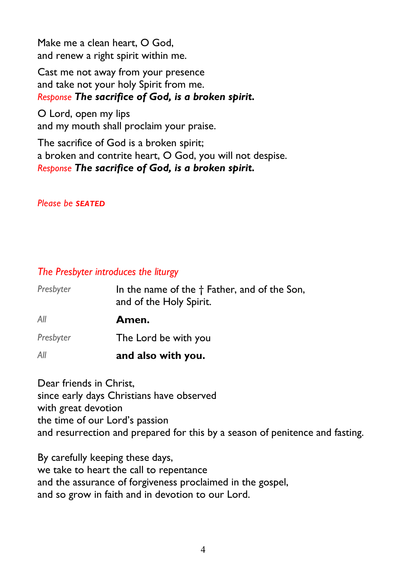Make me a clean heart, O God, and renew a right spirit within me.

Cast me not away from your presence and take not your holy Spirit from me. *Response The sacrifice of God, is a broken spirit.* 

İ, O Lord, open my lips and my mouth shall proclaim your praise.

The sacrifice of God is a broken spirit; a broken and contrite heart, O God, you will not despise. *Response The sacrifice of God, is a broken spirit.* 

#### *Please be SEATED*

#### *The Presbyter introduces the liturgy*

| Presbyter | In the name of the † Father, and of the Son,<br>and of the Holy Spirit. |
|-----------|-------------------------------------------------------------------------|
| Αll       | Amen.                                                                   |
| Presbyter | The Lord be with you                                                    |
| Αll       | and also with you.                                                      |

Dear friends in Christ, since early days Christians have observed with great devotion the time of our Lord's passion and resurrection and prepared for this by a season of penitence and fasting.

By carefully keeping these days, we take to heart the call to repentance and the assurance of forgiveness proclaimed in the gospel, and so grow in faith and in devotion to our Lord.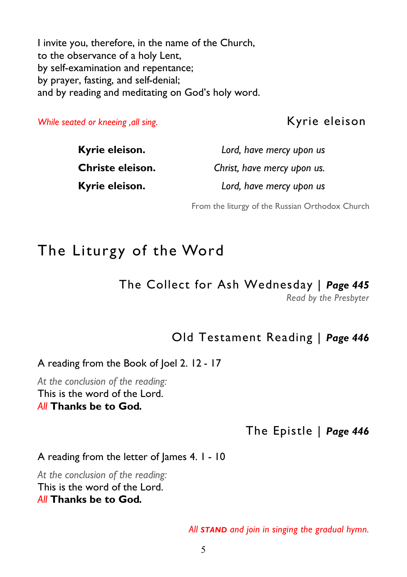I invite you, therefore, in the name of the Church, to the observance of a holy Lent, by self-examination and repentance; by prayer, fasting, and self-denial; and by reading and meditating on God's holy word.

*While seated or kneeing ,all sing.* Kyrie eleison

| Kyrie eleison.   | Lord, have mercy upon us    |
|------------------|-----------------------------|
| Christe eleison. | Christ, have mercy upon us. |
| Kyrie eleison.   | Lord, have mercy upon us    |

From the liturgy of the Russian Orthodox Church

### The Liturgy of the Word

### The Collect for Ash Wednesday | *Page 445*

*Read by the Presbyter* 

### Old Testament Reading | *Page 446*

A reading from the Book of Joel 2. 12 - 17

*At the conclusion of the reading:*  This is the word of the Lord. *All* **Thanks be to God***.* 

#### The Epistle | *Page 446*

#### A reading from the letter of James 4. 1 - 10

*At the conclusion of the reading:*  This is the word of the Lord. *All* **Thanks be to God***.* 

*All STAND and join in singing the gradual hymn.*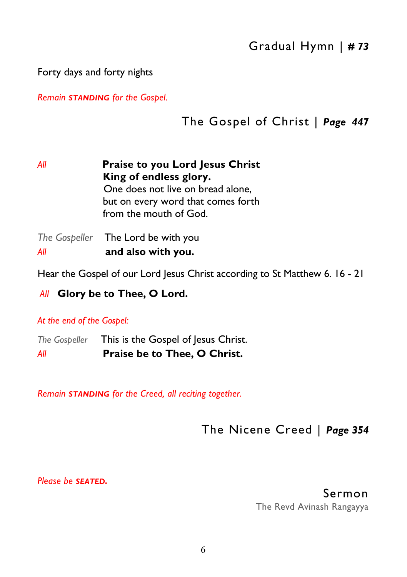Forty days and forty nights

*Remain STANDING for the Gospel.* 

### The Gospel of Christ | *Page 447*

*All* **Praise to you Lord Jesus Christ King of endless glory.**  One does not live on bread alone, but on every word that comes forth from the mouth of God. *The Gospeller* The Lord be with you

*All* **and also with you.** 

Hear the Gospel of our Lord Jesus Christ according to St Matthew 6. 16 - 21

*All* **Glory be to Thee, O Lord.** 

*At the end of the Gospel:* 

*The Gospeller* This is the Gospel of Jesus Christ. *All* **Praise be to Thee, O Christ.** 

*Remain STANDING for the Creed, all reciting together.* 

The Nicene Creed | *Page 354* 

*Please be SEATED.* 

Sermon

The Revd Avinash Rangayya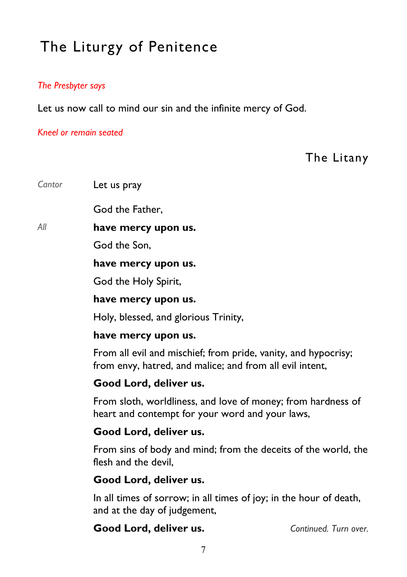# The Liturgy of Penitence

#### *The Presbyter says*

Let us now call to mind our sin and the infinite mercy of God.

*Kneel or remain seated* 

The Litany

*Cantor* Let us pray

God the Father,

*All* **have mercy upon us.** 

God the Son,

**have mercy upon us.** 

God the Holy Spirit,

#### **have mercy upon us.**

Holy, blessed, and glorious Trinity,

#### **have mercy upon us.**

From all evil and mischief; from pride, vanity, and hypocrisy; from envy, hatred, and malice; and from all evil intent,

#### **Good Lord, deliver us.**

From sloth, worldliness, and love of money; from hardness of heart and contempt for your word and your laws,

#### **Good Lord, deliver us.**

From sins of body and mind; from the deceits of the world, the flesh and the devil,

#### **Good Lord, deliver us.**

In all times of sorrow; in all times of joy; in the hour of death, and at the day of judgement,

**Good Lord, deliver us.** *Continued. Turn over.*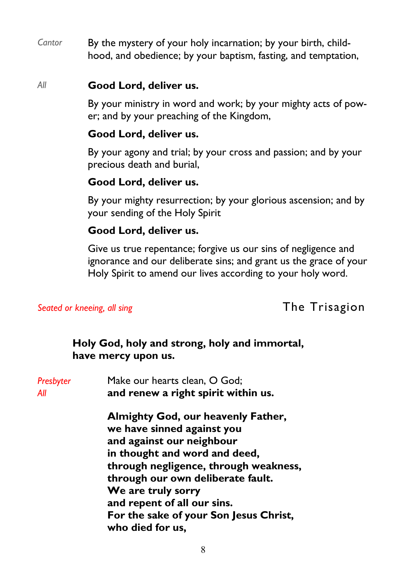*Cantor* By the mystery of your holy incarnation; by your birth, childhood, and obedience; by your baptism, fasting, and temptation,

#### *All* **Good Lord, deliver us.**

By your ministry in word and work; by your mighty acts of power; and by your preaching of the Kingdom,

#### **Good Lord, deliver us.**

By your agony and trial; by your cross and passion; and by your precious death and burial,

#### **Good Lord, deliver us.**

By your mighty resurrection; by your glorious ascension; and by your sending of the Holy Spirit

#### **Good Lord, deliver us.**

Give us true repentance; forgive us our sins of negligence and ignorance and our deliberate sins; and grant us the grace of your Holy Spirit to amend our lives according to your holy word.

**Seated or kneeing, all sing**  The Trisagion

#### **Holy God, holy and strong, holy and immortal, have mercy upon us.**

| Make our hearts clean, O God;<br>and renew a right spirit within us.                          |  |
|-----------------------------------------------------------------------------------------------|--|
| Almighty God, our heavenly Father,<br>we have sinned against you<br>and against our neighbour |  |
| in thought and word and deed,<br>through negligence, through weakness,                        |  |
| through our own deliberate fault.                                                             |  |
| We are truly sorry<br>and repent of all our sins.                                             |  |
| For the sake of your Son Jesus Christ,<br>who died for us,                                    |  |
|                                                                                               |  |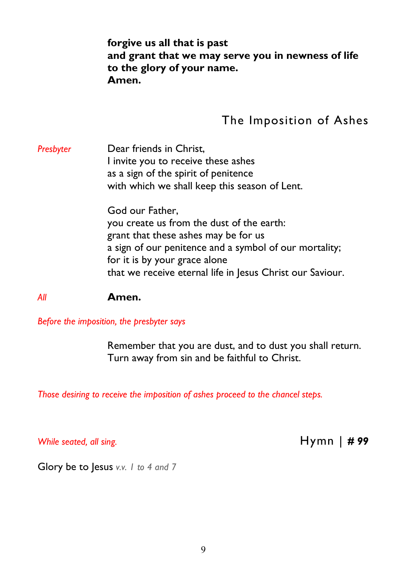#### **forgive us all that is past and grant that we may serve you in newness of life to the glory of your name. Amen.**

### The Imposition of Ashes

**Presbyter Dear friends in Christ.**  I invite you to receive these ashes as a sign of the spirit of penitence with which we shall keep this season of Lent.

> God our Father, you create us from the dust of the earth: grant that these ashes may be for us a sign of our penitence and a symbol of our mortality; for it is by your grace alone that we receive eternal life in Jesus Christ our Saviour.

*All* **Amen.** 

*Before the imposition, the presbyter says* 

 Remember that you are dust, and to dust you shall return. Turn away from sin and be faithful to Christ.

*Those desiring to receive the imposition of ashes proceed to the chancel steps.* 

*While seated, all sing.* **Hymn** | *# 99* 

Glory be to Jesus *v.v. 1 to 4 and 7*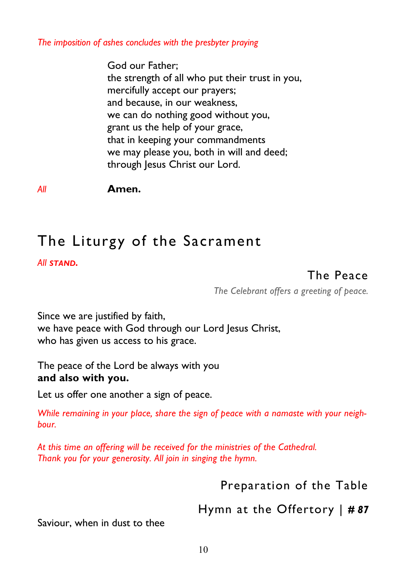*The imposition of ashes concludes with the presbyter praying* 

 God our Father; the strength of all who put their trust in you, mercifully accept our prayers; and because, in our weakness, we can do nothing good without you, grant us the help of your grace, that in keeping your commandments we may please you, both in will and deed; through Jesus Christ our Lord.

*All* **Amen.**

## The Liturgy of the Sacrament

*All STAND.*

### The Peace

*The Celebrant offers a greeting of peace.* 

Since we are justified by faith, we have peace with God through our Lord Jesus Christ, who has given us access to his grace.

The peace of the Lord be always with you **and also with you.** 

Let us offer one another a sign of peace.

*While remaining in your place, share the sign of peace with a namaste with your neighbour.* 

*At this time an offering will be received for the ministries of the Cathedral. Thank you for your generosity. All join in singing the hymn.* 

Preparation of the Table

Hymn at the Offertory | *# 87* 

Saviour, when in dust to thee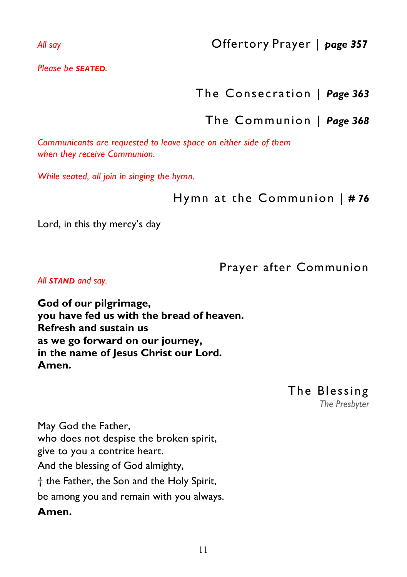*All say* Offertory Prayer | *page 357* 

*Please be SEATED.* 

### The Consecration | *Page 363*

### The Communion | *Page 368*

*Communicants are requested to leave space on either side of them when they receive Communion.* 

*While seated, all join in singing the hymn.* 

Hymn at the Communion | *# 76*

Lord, in this thy mercy's day

Prayer after Communion

*All STAND and say.* 

**God of our pilgrimage, you have fed us with the bread of heaven. Refresh and sustain us as we go forward on our journey, in the name of Jesus Christ our Lord. Amen.** 

May God the Father, who does not despise the broken spirit, give to you a contrite heart. And the blessing of God almighty, † the Father, the Son and the Holy Spirit, be among you and remain with you always. **Amen.** 

The Blessing *The Presbyter*